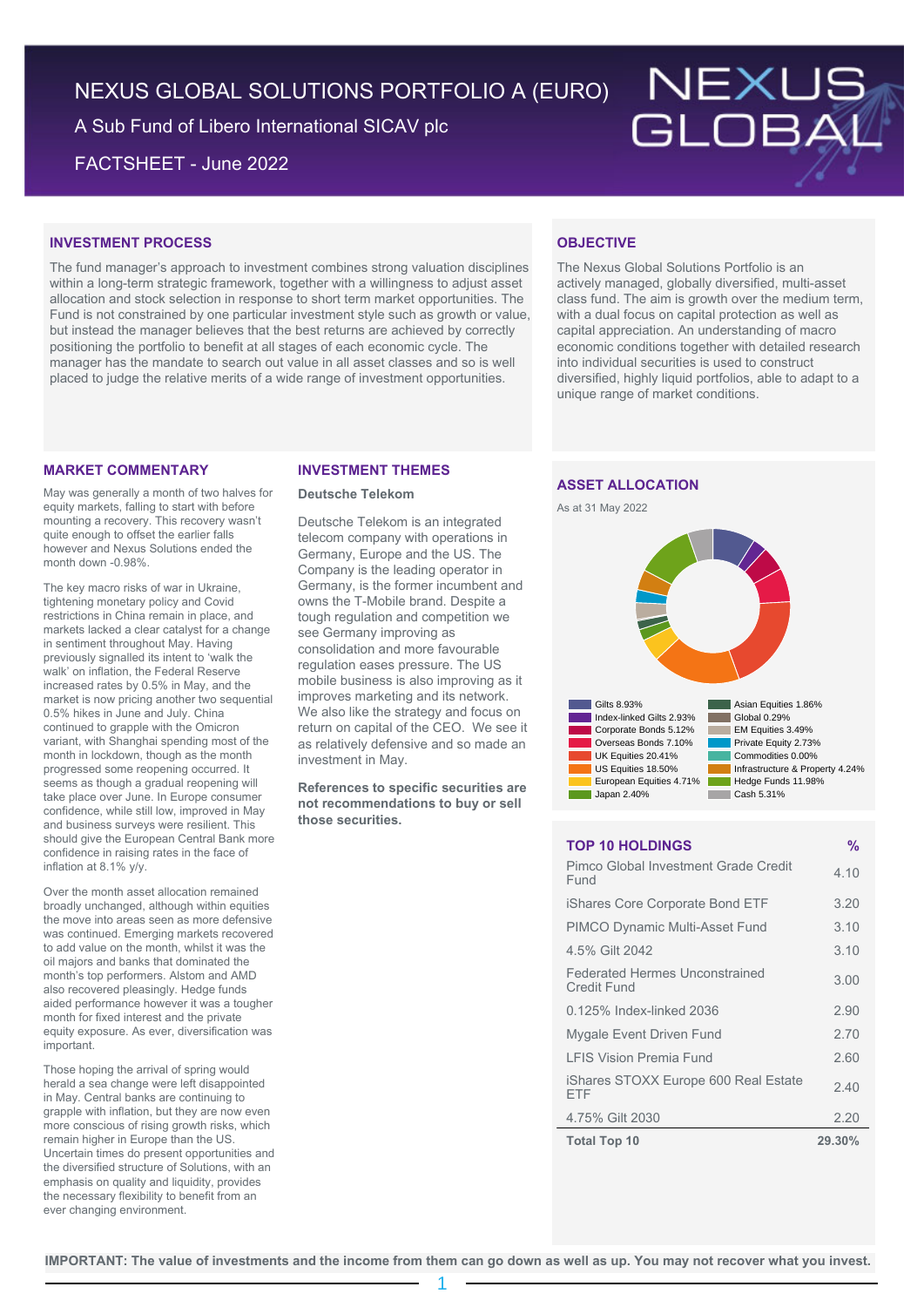NEXUS GLOBAL SOLUTIONS PORTFOLIO A (EURO)

A Sub Fund of Libero International SICAV plc

FACTSHEET - June 2022



## **INVESTMENT PROCESS**

The fund manager's approach to investment combines strong valuation disciplines within a long-term strategic framework, together with a willingness to adjust asset allocation and stock selection in response to short term market opportunities. The Fund is not constrained by one particular investment style such as growth or value, but instead the manager believes that the best returns are achieved by correctly positioning the portfolio to benefit at all stages of each economic cycle. The manager has the mandate to search out value in all asset classes and so is well placed to judge the relative merits of a wide range of investment opportunities.

## **MARKET COMMENTARY**

May was generally a month of two halves for equity markets, falling to start with before mounting a recovery. This recovery wasn't quite enough to offset the earlier falls however and Nexus Solutions ended the month down -0.98%.

The key macro risks of war in Ukraine, tightening monetary policy and Covid restrictions in China remain in place, and markets lacked a clear catalyst for a change in sentiment throughout May. Having previously signalled its intent to 'walk the walk' on inflation, the Federal Reserve increased rates by 0.5% in May, and the market is now pricing another two sequential 0.5% hikes in June and July. China continued to grapple with the Omicron variant, with Shanghai spending most of the month in lockdown, though as the month progressed some reopening occurred. It seems as though a gradual reopening will take place over June. In Europe consumer confidence, while still low, improved in May and business surveys were resilient. This should give the European Central Bank more confidence in raising rates in the face of inflation at 8.1% y/y.

Over the month asset allocation remained broadly unchanged, although within equities the move into areas seen as more defensive was continued. Emerging markets recovered to add value on the month, whilst it was the oil majors and banks that dominated the month's top performers. Alstom and AMD also recovered pleasingly. Hedge funds aided performance however it was a tougher month for fixed interest and the private equity exposure. As ever, diversification was important.

Those hoping the arrival of spring would herald a sea change were left disappointed in May. Central banks are continuing to grapple with inflation, but they are now even more conscious of rising growth risks, which remain higher in Europe than the US. Uncertain times do present opportunities and the diversified structure of Solutions, with an emphasis on quality and liquidity, provides the necessary flexibility to benefit from an ever changing environment.

### **INVESTMENT THEMES**

### **Deutsche Telekom**

Deutsche Telekom is an integrated telecom company with operations in Germany, Europe and the US. The Company is the leading operator in Germany, is the former incumbent and owns the T-Mobile brand. Despite a tough regulation and competition we see Germany improving as consolidation and more favourable regulation eases pressure. The US mobile business is also improving as it improves marketing and its network. We also like the strategy and focus on return on capital of the CEO. We see it as relatively defensive and so made an investment in May.

**References to specific securities are not recommendations to buy or sell those securities.**

# **OBJECTIVE**

The Nexus Global Solutions Portfolio is an actively managed, globally diversified, multi-asset class fund. The aim is growth over the medium term, with a dual focus on capital protection as well as capital appreciation. An understanding of macro economic conditions together with detailed research into individual securities is used to construct diversified, highly liquid portfolios, able to adapt to a unique range of market conditions.

## **ASSET ALLOCATION**





## **TOP 10 HOLDINGS %**

| <b>Total Top 10</b>                                  | 29.30% |
|------------------------------------------------------|--------|
| 4.75% Gilt 2030                                      | 2.20   |
| iShares STOXX Europe 600 Real Estate<br>FTF          | 2.40   |
| <b>I FIS Vision Premia Fund</b>                      | 2.60   |
| Mygale Event Driven Fund                             | 2.70   |
| 0.125% Index-linked 2036                             | 2.90   |
| <b>Federated Hermes Unconstrained</b><br>Credit Fund | 3.00   |
| 4.5% Gilt 2042                                       | 3.10   |
| <b>PIMCO Dynamic Multi-Asset Fund</b>                | 3.10   |
| iShares Core Corporate Bond ETF                      | 3.20   |
| Pimco Global Investment Grade Credit<br>Fund         | 4.10   |